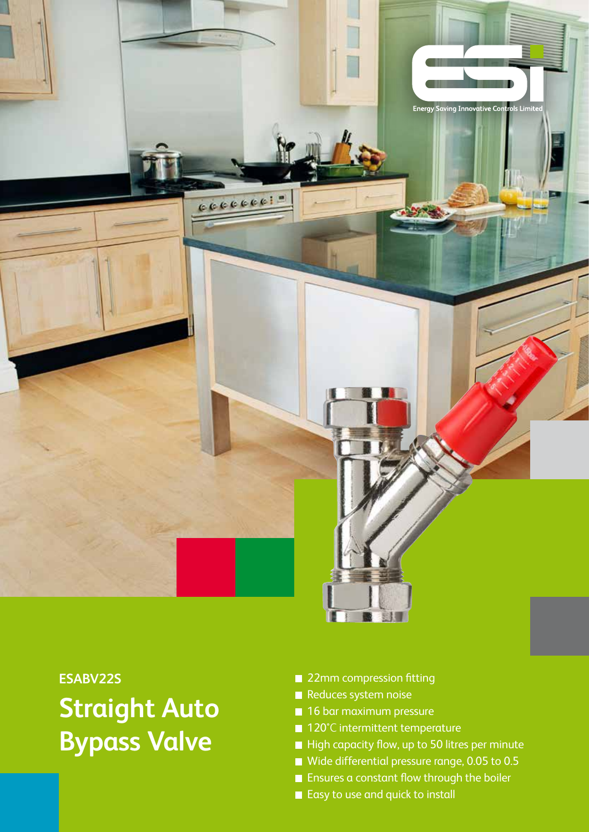

## **ESABV22S Straight Auto Bypass Valve**

- 22mm compression fitting
- Reduces system noise
- 16 bar maximum pressure
- 120°C intermittent temperature
- High capacity flow, up to 50 litres per minute
- Wide differential pressure range, 0.05 to 0.5
- **Ensures a constant flow through the boiler**
- Easy to use and quick to install